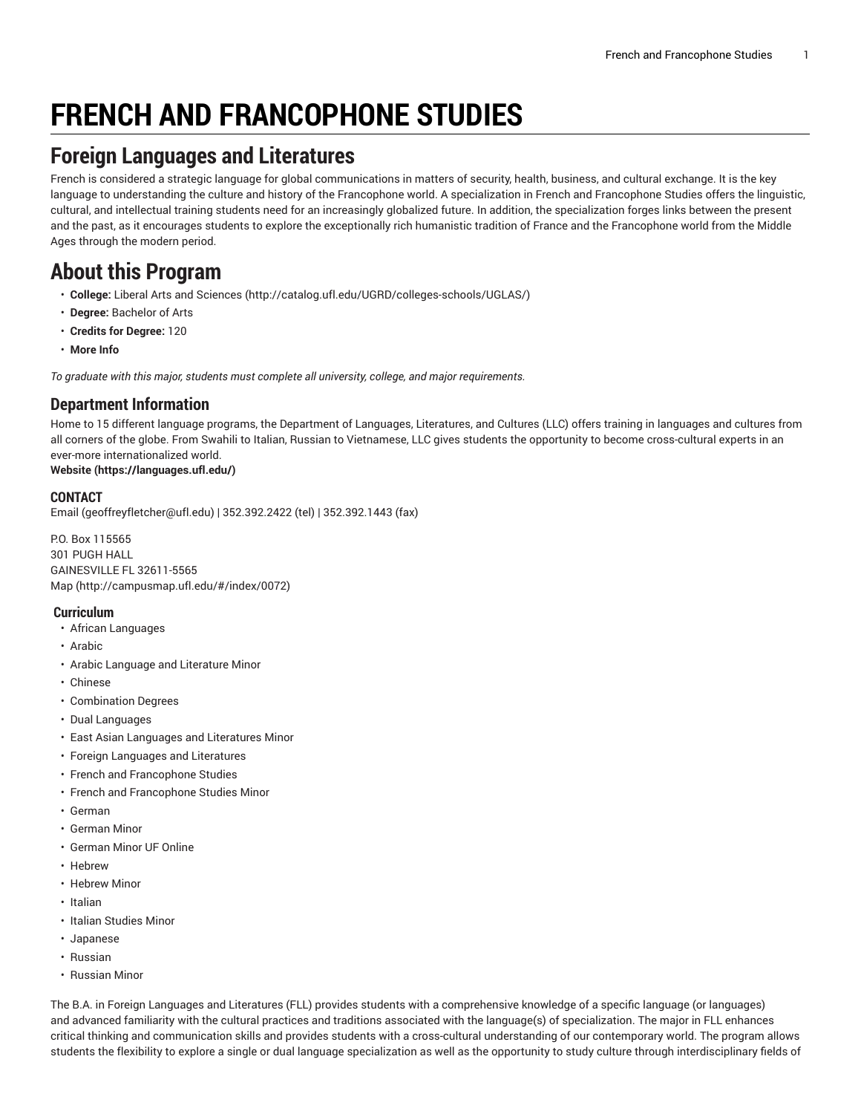# **FRENCH AND FRANCOPHONE STUDIES**

# **Foreign Languages and Literatures**

French is considered a strategic language for global communications in matters of security, health, business, and cultural exchange. It is the key language to understanding the culture and history of the Francophone world. A specialization in French and Francophone Studies offers the linguistic, cultural, and intellectual training students need for an increasingly globalized future. In addition, the specialization forges links between the present and the past, as it encourages students to explore the exceptionally rich humanistic tradition of France and the Francophone world from the Middle Ages through the modern period.

# **About this Program**

- **College:** Liberal Arts and [Sciences](http://catalog.ufl.edu/UGRD/colleges-schools/UGLAS/) ([http://catalog.ufl.edu/UGRD/colleges-schools/UGLAS/\)](http://catalog.ufl.edu/UGRD/colleges-schools/UGLAS/)
- **Degree:** Bachelor of Arts
- **Credits for Degree:** 120
- **More Info**

*To graduate with this major, students must complete all university, college, and major requirements.*

#### **Department Information**

Home to 15 different language programs, the Department of Languages, Literatures, and Cultures (LLC) offers training in languages and cultures from all corners of the globe. From Swahili to Italian, Russian to Vietnamese, LLC gives students the opportunity to become cross-cultural experts in an ever-more internationalized world.

#### **[Website](https://languages.ufl.edu/) ([https://languages.ufl.edu/\)](https://languages.ufl.edu/)**

#### **CONTACT**

[Email](mailto:geoffreyfletcher@ufl.edu) ([geoffreyfletcher@ufl.edu\)](geoffreyfletcher@ufl.edu) | 352.392.2422 (tel) | 352.392.1443 (fax)

P.O. Box 115565 301 PUGH HALL GAINESVILLE FL 32611-5565 [Map](http://campusmap.ufl.edu/#/index/0072) ([http://campusmap.ufl.edu/#/index/0072\)](http://campusmap.ufl.edu/#/index/0072)

#### **Curriculum**

- African Languages
- Arabic
- Arabic Language and Literature Minor
- Chinese
- Combination Degrees
- Dual Languages
- East Asian Languages and Literatures Minor
- Foreign Languages and Literatures
- French and Francophone Studies
- French and Francophone Studies Minor
- German
- German Minor
- German Minor UF Online
- Hebrew
- Hebrew Minor
- Italian
- Italian Studies Minor
- Japanese
- Russian
- Russian Minor

The B.A. in Foreign Languages and Literatures (FLL) provides students with a comprehensive knowledge of a specific language (or languages) and advanced familiarity with the cultural practices and traditions associated with the language(s) of specialization. The major in FLL enhances critical thinking and communication skills and provides students with a cross-cultural understanding of our contemporary world. The program allows students the flexibility to explore a single or dual language specialization as well as the opportunity to study culture through interdisciplinary fields of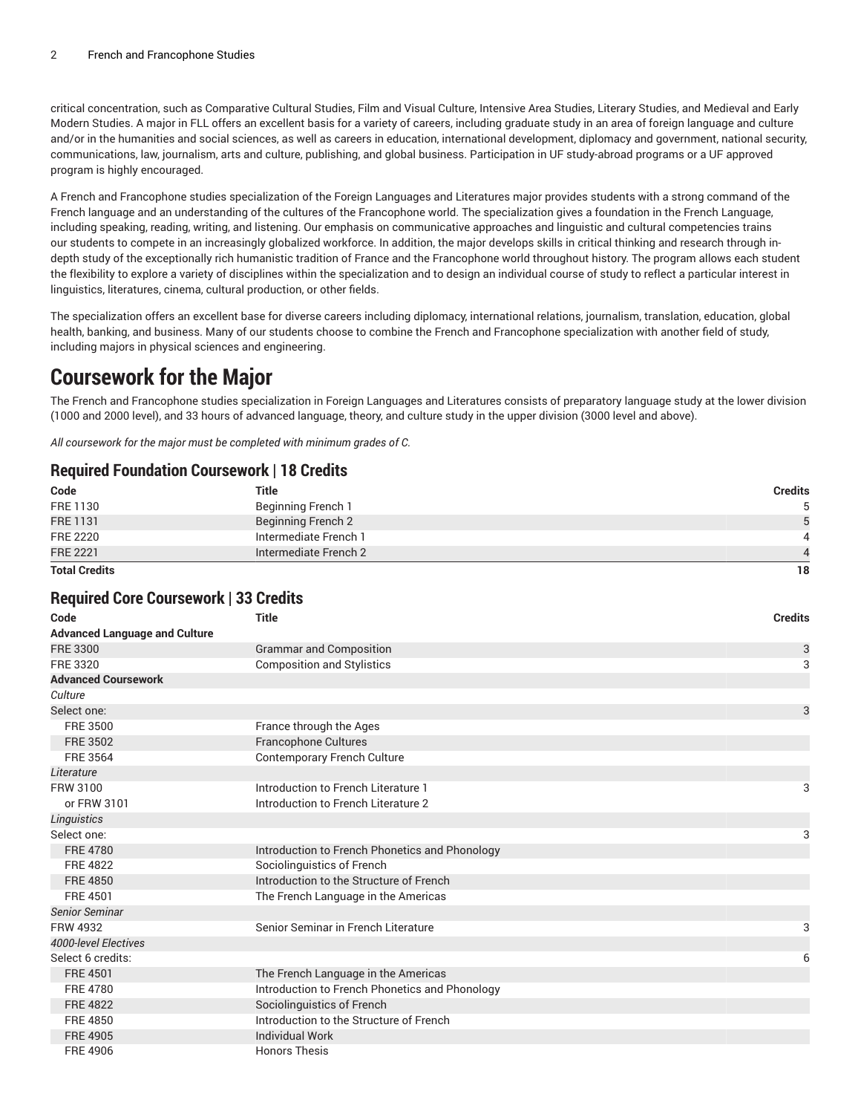critical concentration, such as Comparative Cultural Studies, Film and Visual Culture, Intensive Area Studies, Literary Studies, and Medieval and Early Modern Studies. A major in FLL offers an excellent basis for a variety of careers, including graduate study in an area of foreign language and culture and/or in the humanities and social sciences, as well as careers in education, international development, diplomacy and government, national security, communications, law, journalism, arts and culture, publishing, and global business. Participation in UF study-abroad programs or a UF approved program is highly encouraged.

A French and Francophone studies specialization of the Foreign Languages and Literatures major provides students with a strong command of the French language and an understanding of the cultures of the Francophone world. The specialization gives a foundation in the French Language, including speaking, reading, writing, and listening. Our emphasis on communicative approaches and linguistic and cultural competencies trains our students to compete in an increasingly globalized workforce. In addition, the major develops skills in critical thinking and research through indepth study of the exceptionally rich humanistic tradition of France and the Francophone world throughout history. The program allows each student the flexibility to explore a variety of disciplines within the specialization and to design an individual course of study to reflect a particular interest in linguistics, literatures, cinema, cultural production, or other fields.

The specialization offers an excellent base for diverse careers including diplomacy, international relations, journalism, translation, education, global health, banking, and business. Many of our students choose to combine the French and Francophone specialization with another field of study, including majors in physical sciences and engineering.

### **Coursework for the Major**

The French and Francophone studies specialization in Foreign Languages and Literatures consists of preparatory language study at the lower division (1000 and 2000 level), and 33 hours of advanced language, theory, and culture study in the upper division (3000 level and above).

*All coursework for the major must be completed with minimum grades of C.*

#### **Required Foundation Coursework | 18 Credits**

| <b>Total Credits</b> |                           | 18             |
|----------------------|---------------------------|----------------|
| <b>FRE 2221</b>      | Intermediate French 2     |                |
| <b>FRE 2220</b>      | Intermediate French 1     |                |
| <b>FRE 1131</b>      | <b>Beginning French 2</b> | 5              |
| FRE 1130             | Beginning French 1        | 5              |
| Code                 | Title                     | <b>Credits</b> |
|                      |                           |                |

#### **Required Core Coursework | 33 Credits**

| Code                                 | <b>Title</b>                                   | <b>Credits</b> |
|--------------------------------------|------------------------------------------------|----------------|
| <b>Advanced Language and Culture</b> |                                                |                |
| <b>FRE 3300</b>                      | <b>Grammar and Composition</b>                 | 3              |
| FRE 3320                             | <b>Composition and Stylistics</b>              | 3              |
| <b>Advanced Coursework</b>           |                                                |                |
| Culture                              |                                                |                |
| Select one:                          |                                                | 3              |
| <b>FRE 3500</b>                      | France through the Ages                        |                |
| <b>FRE 3502</b>                      | <b>Francophone Cultures</b>                    |                |
| <b>FRE 3564</b>                      | <b>Contemporary French Culture</b>             |                |
| Literature                           |                                                |                |
| FRW 3100                             | Introduction to French Literature 1            | 3              |
| or FRW 3101                          | Introduction to French Literature 2            |                |
| <b>Linguistics</b>                   |                                                |                |
| Select one:                          |                                                | 3              |
| <b>FRE 4780</b>                      | Introduction to French Phonetics and Phonology |                |
| <b>FRE 4822</b>                      | Sociolinguistics of French                     |                |
| <b>FRE 4850</b>                      | Introduction to the Structure of French        |                |
| <b>FRE 4501</b>                      | The French Language in the Americas            |                |
| <b>Senior Seminar</b>                |                                                |                |
| <b>FRW 4932</b>                      | Senior Seminar in French Literature            | 3              |
| 4000-level Electives                 |                                                |                |
| Select 6 credits:                    |                                                | 6              |
| <b>FRE 4501</b>                      | The French Language in the Americas            |                |
| <b>FRE 4780</b>                      | Introduction to French Phonetics and Phonology |                |
| <b>FRE 4822</b>                      | Sociolinguistics of French                     |                |
| <b>FRE 4850</b>                      | Introduction to the Structure of French        |                |
| <b>FRE 4905</b>                      | <b>Individual Work</b>                         |                |
| <b>FRE 4906</b>                      | <b>Honors Thesis</b>                           |                |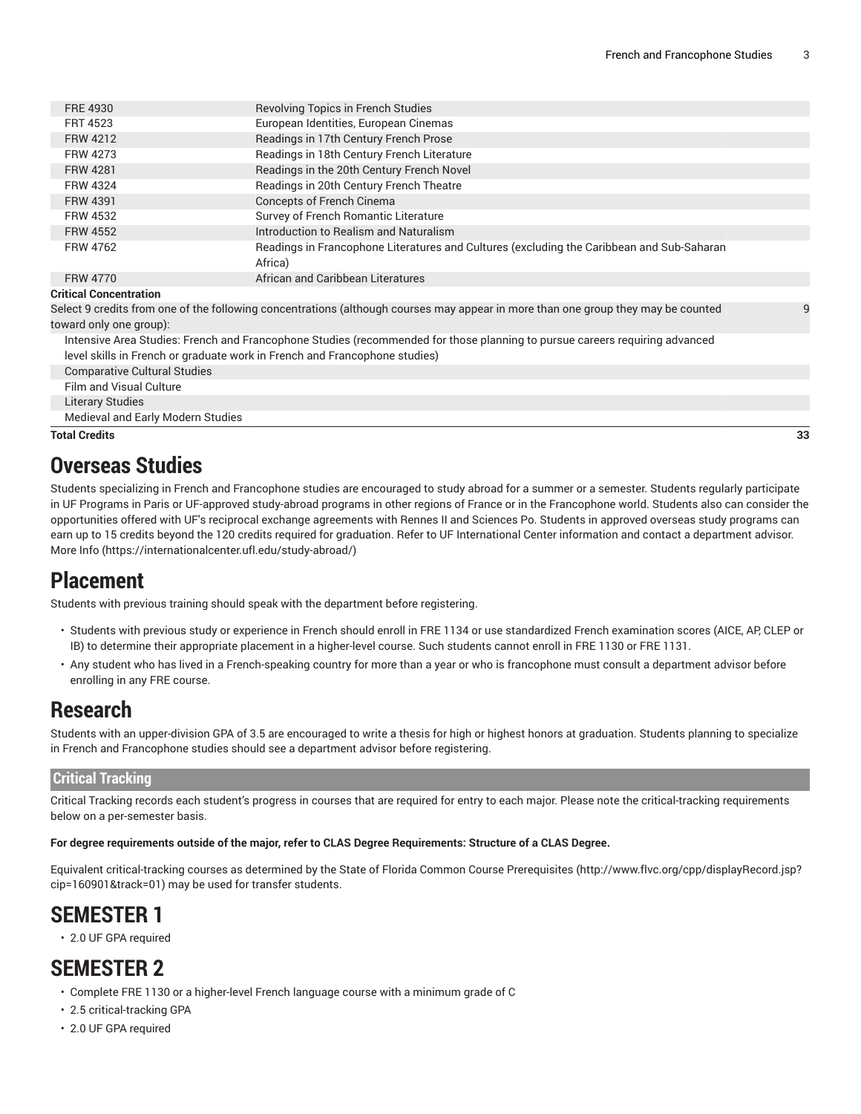| FRE 4930                      | <b>Revolving Topics in French Studies</b>                                                                                         |   |
|-------------------------------|-----------------------------------------------------------------------------------------------------------------------------------|---|
| <b>FRT 4523</b>               | European Identities, European Cinemas                                                                                             |   |
| <b>FRW 4212</b>               | Readings in 17th Century French Prose                                                                                             |   |
| FRW 4273                      | Readings in 18th Century French Literature                                                                                        |   |
| <b>FRW 4281</b>               | Readings in the 20th Century French Novel                                                                                         |   |
| <b>FRW 4324</b>               | Readings in 20th Century French Theatre                                                                                           |   |
| <b>FRW 4391</b>               | Concepts of French Cinema                                                                                                         |   |
| <b>FRW 4532</b>               | Survey of French Romantic Literature                                                                                              |   |
| <b>FRW 4552</b>               | Introduction to Realism and Naturalism                                                                                            |   |
| <b>FRW 4762</b>               | Readings in Francophone Literatures and Cultures (excluding the Caribbean and Sub-Saharan<br>Africa)                              |   |
| <b>FRW 4770</b>               | African and Caribbean Literatures                                                                                                 |   |
| <b>Critical Concentration</b> |                                                                                                                                   |   |
|                               | Select 9 credits from one of the following concentrations (although courses may appear in more than one group they may be counted | q |

Select 9 credits from one of the following concentrations (although courses may appear in more than one group they may be counted toward only one group):

Intensive Area Studies: French and Francophone Studies (recommended for those planning to pursue careers requiring advanced level skills in French or graduate work in French and Francophone studies)

Comparative Cultural Studies

Film and Visual Culture

Literary Studies

Medieval and Early Modern Studies

**Total Credits 33**

#### **Overseas Studies**

Students specializing in French and Francophone studies are encouraged to study abroad for a summer or a semester. Students regularly participate in UF Programs in Paris or UF-approved study-abroad programs in other regions of France or in the Francophone world. Students also can consider the opportunities offered with UF's reciprocal exchange agreements with Rennes II and Sciences Po. Students in approved overseas study programs can earn up to 15 credits beyond the 120 credits required for graduation. Refer to UF International Center information and contact a department advisor. [More](https://internationalcenter.ufl.edu/study-abroad/) Info [\(https://internationalcenter.ufl.edu/study-abroad/\)](https://internationalcenter.ufl.edu/study-abroad/)

### **Placement**

Students with previous training should speak with the department before registering.

- Students with previous study or experience in French should enroll in FRE 1134 or use standardized French examination scores (AICE, AP, CLEP or IB) to determine their appropriate placement in a higher-level course. Such students cannot enroll in FRE 1130 or FRE 1131.
- Any student who has lived in a French-speaking country for more than a year or who is francophone must consult a department advisor before enrolling in any FRE course.

### **Research**

Students with an upper-division GPA of 3.5 are encouraged to write a thesis for high or highest honors at graduation. Students planning to specialize in French and Francophone studies should see a department advisor before registering.

#### **Critical Tracking**

Critical Tracking records each student's progress in courses that are required for entry to each major. Please note the critical-tracking requirements below on a per-semester basis.

#### For degree requirements outside of the major, refer to CLAS Degree Requirements: Structure of a CLAS Degree.

Equivalent critical-tracking courses as determined by the State of Florida Common Course [Prerequisites](http://www.flvc.org/cpp/displayRecord.jsp?cip=160901&track=01) ([http://www.flvc.org/cpp/displayRecord.jsp?](http://www.flvc.org/cpp/displayRecord.jsp?cip=160901&track=01) [cip=160901&track=01\)](http://www.flvc.org/cpp/displayRecord.jsp?cip=160901&track=01) may be used for transfer students.

# **SEMESTER 1**

• 2.0 UF GPA required

# **SEMESTER 2**

- Complete FRE 1130 or a higher-level French language course with a minimum grade of C
- 2.5 critical-tracking GPA
- 2.0 UF GPA required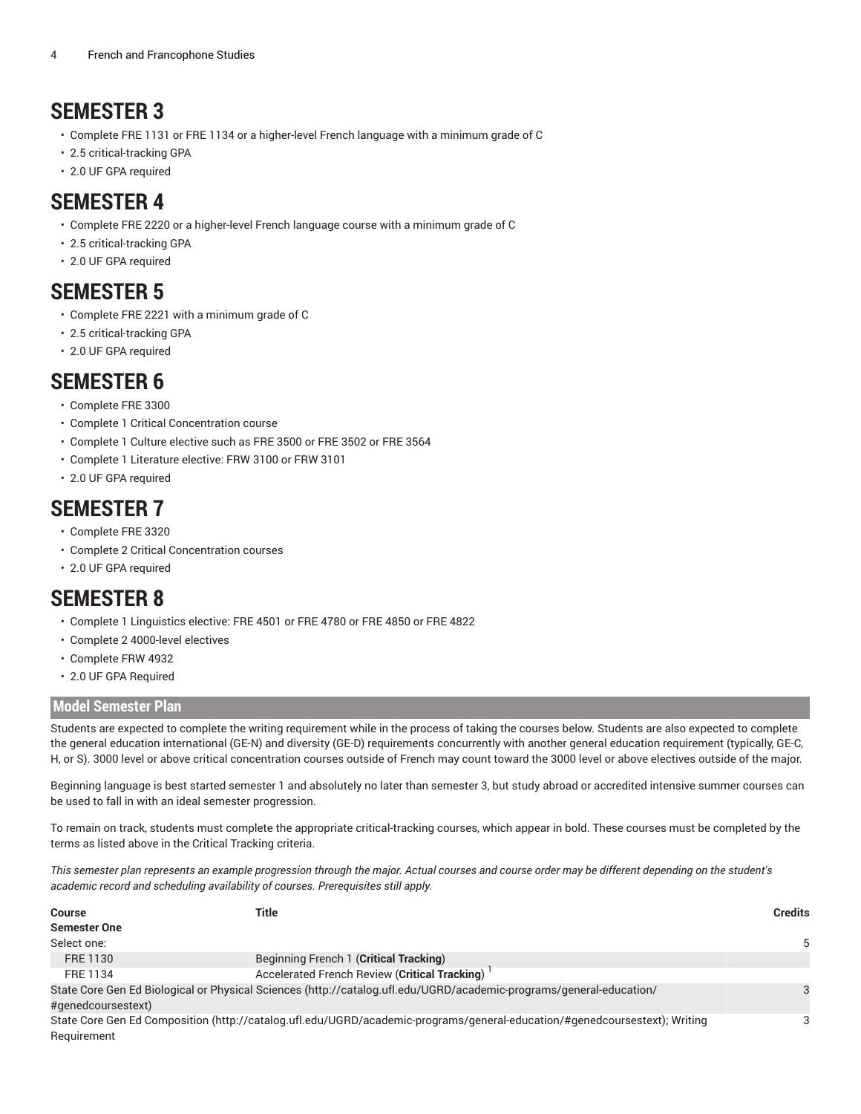# **SEMESTER 3**

- Complete FRE 1131 or FRE 1134 or a higher-level French language with a minimum grade of C
- 2.5 critical-tracking GPA
- 2.0 UF GPA required

# **SEMESTER 4**

- Complete FRE 2220 or a higher-level French language course with a minimum grade of C
- 2.5 critical-tracking GPA
- 2.0 UF GPA required

# **SEMESTER 5**

- Complete FRE 2221 with a minimum grade of C
- 2.5 critical-tracking GPA
- 2.0 UF GPA required

# **SEMESTER 6**

- Complete FRE 3300
- Complete 1 Critical Concentration course
- Complete 1 Culture elective such as FRE 3500 or FRE 3502 or FRE 3564
- Complete 1 Literature elective: FRW 3100 or FRW 3101
- 2.0 UF GPA required

#### **SEMESTER 7**

- Complete FRE 3320
- Complete 2 Critical Concentration courses
- 2.0 UF GPA required

### **SEMESTER 8**

- Complete 1 Linguistics elective: FRE 4501 or FRE 4780 or FRE 4850 or FRE 4822
- Complete 2 4000-level electives
- Complete FRW 4932
- 2.0 UF GPA Required

#### **Model Semester Plan**

Students are expected to complete the writing requirement while in the process of taking the courses below. Students are also expected to complete the general education international (GE-N) and diversity (GE-D) requirements concurrently with another general education requirement (typically, GE-C, H, or S). 3000 level or above critical concentration courses outside of French may count toward the 3000 level or above electives outside of the major.

Beginning language is best started semester 1 and absolutely no later than semester 3, but study abroad or accredited intensive summer courses can be used to fall in with an ideal semester progression.

To remain on track, students must complete the appropriate critical-tracking courses, which appear in bold. These courses must be completed by the terms as listed above in the Critical Tracking criteria.

This semester plan represents an example progression through the major. Actual courses and course order may be different depending on the student's *academic record and scheduling availability of courses. Prerequisites still apply.*

| <b>Course</b>       | Title                                                                                                                      | <b>Credits</b> |
|---------------------|----------------------------------------------------------------------------------------------------------------------------|----------------|
| <b>Semester One</b> |                                                                                                                            |                |
| Select one:         |                                                                                                                            |                |
| FRE 1130            | Beginning French 1 (Critical Tracking)                                                                                     |                |
| FRE 1134            | Accelerated French Review (Critical Tracking)                                                                              |                |
|                     | State Core Gen Ed Biological or Physical Sciences (http://catalog.ufl.edu/UGRD/academic-programs/general-education/        |                |
| #genedcoursestext)  |                                                                                                                            |                |
|                     | State Core Gen Ed Composition (http://catalog.ufl.edu/UGRD/academic-programs/general-education/#genedcoursestext); Writing | 3              |
| Requirement         |                                                                                                                            |                |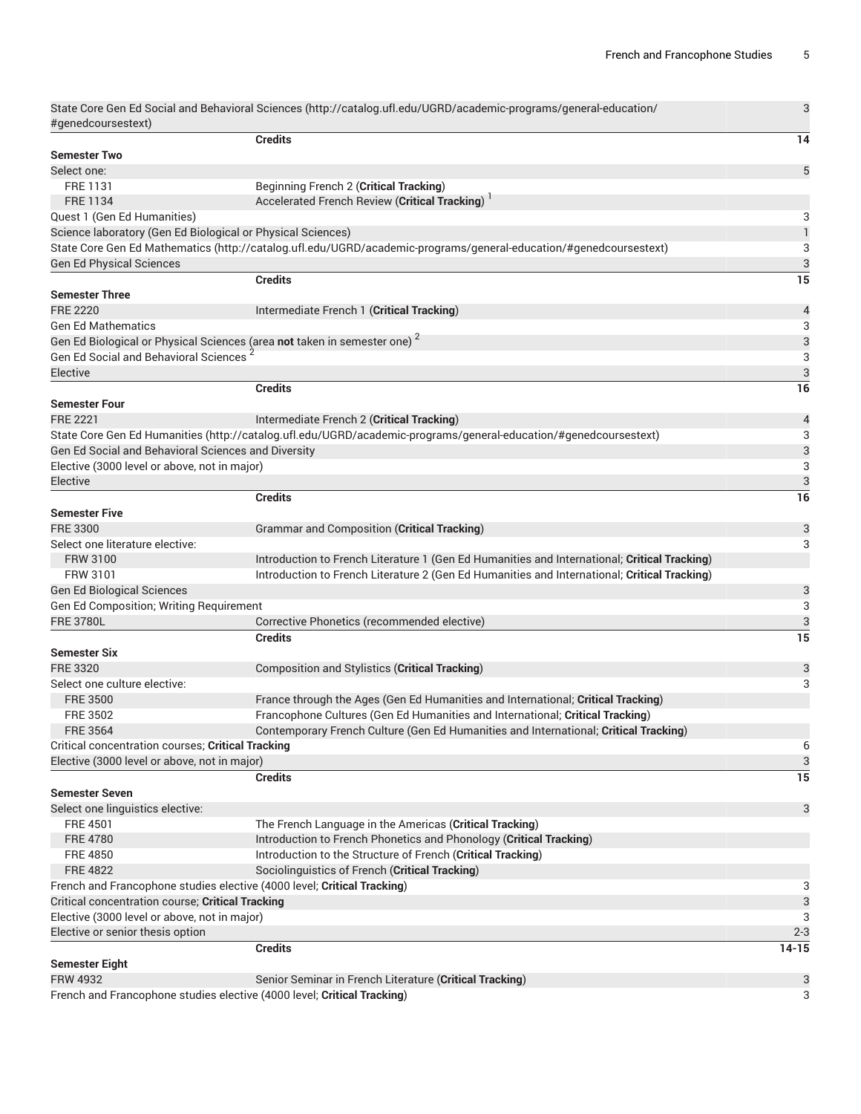3

State Core Gen Ed Social and [Behavioral](http://catalog.ufl.edu/UGRD/academic-programs/general-education/#genedcoursestext) Sciences ([http://catalog.ufl.edu/UGRD/academic-programs/general-education/](http://catalog.ufl.edu/UGRD/academic-programs/general-education/#genedcoursestext) [#genedcoursestext](http://catalog.ufl.edu/UGRD/academic-programs/general-education/#genedcoursestext))

| #geneucoursestext)                                          |                                                                                                                   |                                |
|-------------------------------------------------------------|-------------------------------------------------------------------------------------------------------------------|--------------------------------|
| <b>Semester Two</b>                                         | <b>Credits</b>                                                                                                    | 14                             |
| Select one:                                                 |                                                                                                                   | 5                              |
| FRE 1131                                                    |                                                                                                                   |                                |
| <b>FRE 1134</b>                                             | Beginning French 2 (Critical Tracking)<br>Accelerated French Review (Critical Tracking)                           |                                |
|                                                             |                                                                                                                   |                                |
| Quest 1 (Gen Ed Humanities)                                 |                                                                                                                   | 3<br>$\ensuremath{\mathsf{1}}$ |
| Science laboratory (Gen Ed Biological or Physical Sciences) |                                                                                                                   |                                |
|                                                             | State Core Gen Ed Mathematics (http://catalog.ufl.edu/UGRD/academic-programs/general-education/#genedcoursestext) | 3                              |
| <b>Gen Ed Physical Sciences</b>                             |                                                                                                                   | 3<br>$\overline{15}$           |
| <b>Semester Three</b>                                       | <b>Credits</b>                                                                                                    |                                |
| <b>FRE 2220</b>                                             | Intermediate French 1 (Critical Tracking)                                                                         | $\overline{\mathcal{A}}$       |
| <b>Gen Ed Mathematics</b>                                   |                                                                                                                   | 3                              |
|                                                             | Gen Ed Biological or Physical Sciences (area not taken in semester one) <sup>2</sup>                              | 3                              |
| Gen Ed Social and Behavioral Sciences                       |                                                                                                                   | 3                              |
| Elective                                                    |                                                                                                                   | 3                              |
|                                                             | <b>Credits</b>                                                                                                    | 16                             |
| <b>Semester Four</b>                                        |                                                                                                                   |                                |
| <b>FRE 2221</b>                                             | Intermediate French 2 (Critical Tracking)                                                                         |                                |
|                                                             | State Core Gen Ed Humanities (http://catalog.ufl.edu/UGRD/academic-programs/general-education/#genedcoursestext)  | $\overline{\mathcal{L}}$<br>3  |
|                                                             |                                                                                                                   |                                |
| Gen Ed Social and Behavioral Sciences and Diversity         |                                                                                                                   | 3<br>3                         |
| Elective (3000 level or above, not in major)                |                                                                                                                   |                                |
| Elective                                                    |                                                                                                                   | 3                              |
|                                                             | <b>Credits</b>                                                                                                    | 16                             |
| <b>Semester Five</b>                                        |                                                                                                                   |                                |
| <b>FRE 3300</b>                                             | Grammar and Composition (Critical Tracking)                                                                       | 3                              |
| Select one literature elective:                             |                                                                                                                   | 3                              |
| <b>FRW 3100</b>                                             | Introduction to French Literature 1 (Gen Ed Humanities and International; Critical Tracking)                      |                                |
| FRW 3101                                                    | Introduction to French Literature 2 (Gen Ed Humanities and International; Critical Tracking)                      |                                |
| <b>Gen Ed Biological Sciences</b>                           |                                                                                                                   | 3                              |
| Gen Ed Composition; Writing Requirement                     |                                                                                                                   | 3                              |
| <b>FRE 3780L</b>                                            | Corrective Phonetics (recommended elective)                                                                       | 3                              |
|                                                             | <b>Credits</b>                                                                                                    | $\overline{15}$                |
| <b>Semester Six</b>                                         |                                                                                                                   |                                |
| <b>FRE 3320</b>                                             | Composition and Stylistics (Critical Tracking)                                                                    | 3                              |
| Select one culture elective:                                |                                                                                                                   | 3                              |
| <b>FRE 3500</b>                                             | France through the Ages (Gen Ed Humanities and International; Critical Tracking)                                  |                                |
| FRE 3502                                                    | Francophone Cultures (Gen Ed Humanities and International; Critical Tracking)                                     |                                |
| <b>FRE 3564</b>                                             | Contemporary French Culture (Gen Ed Humanities and International; Critical Tracking)                              |                                |
| Critical concentration courses; Critical Tracking           |                                                                                                                   | 6                              |
| Elective (3000 level or above, not in major)                |                                                                                                                   | 3                              |
|                                                             | <b>Credits</b>                                                                                                    | 15                             |
| <b>Semester Seven</b>                                       |                                                                                                                   |                                |
| Select one linguistics elective:                            |                                                                                                                   | 3                              |
| <b>FRE 4501</b>                                             | The French Language in the Americas (Critical Tracking)                                                           |                                |
| <b>FRE 4780</b>                                             | Introduction to French Phonetics and Phonology (Critical Tracking)                                                |                                |
| <b>FRE 4850</b>                                             | Introduction to the Structure of French (Critical Tracking)                                                       |                                |
| <b>FRE 4822</b>                                             | Sociolinguistics of French (Critical Tracking)                                                                    |                                |
|                                                             | French and Francophone studies elective (4000 level; Critical Tracking)                                           | 3                              |
| Critical concentration course; Critical Tracking            |                                                                                                                   | 3                              |
| Elective (3000 level or above, not in major)                |                                                                                                                   | 3                              |
| Elective or senior thesis option                            |                                                                                                                   | $2 - 3$                        |
|                                                             | <b>Credits</b>                                                                                                    | $14 - 15$                      |
| <b>Semester Eight</b>                                       |                                                                                                                   |                                |
| <b>FRW 4932</b>                                             | Senior Seminar in French Literature (Critical Tracking)                                                           | 3                              |
|                                                             | French and Francophone studies elective (4000 level; Critical Tracking)                                           | 3                              |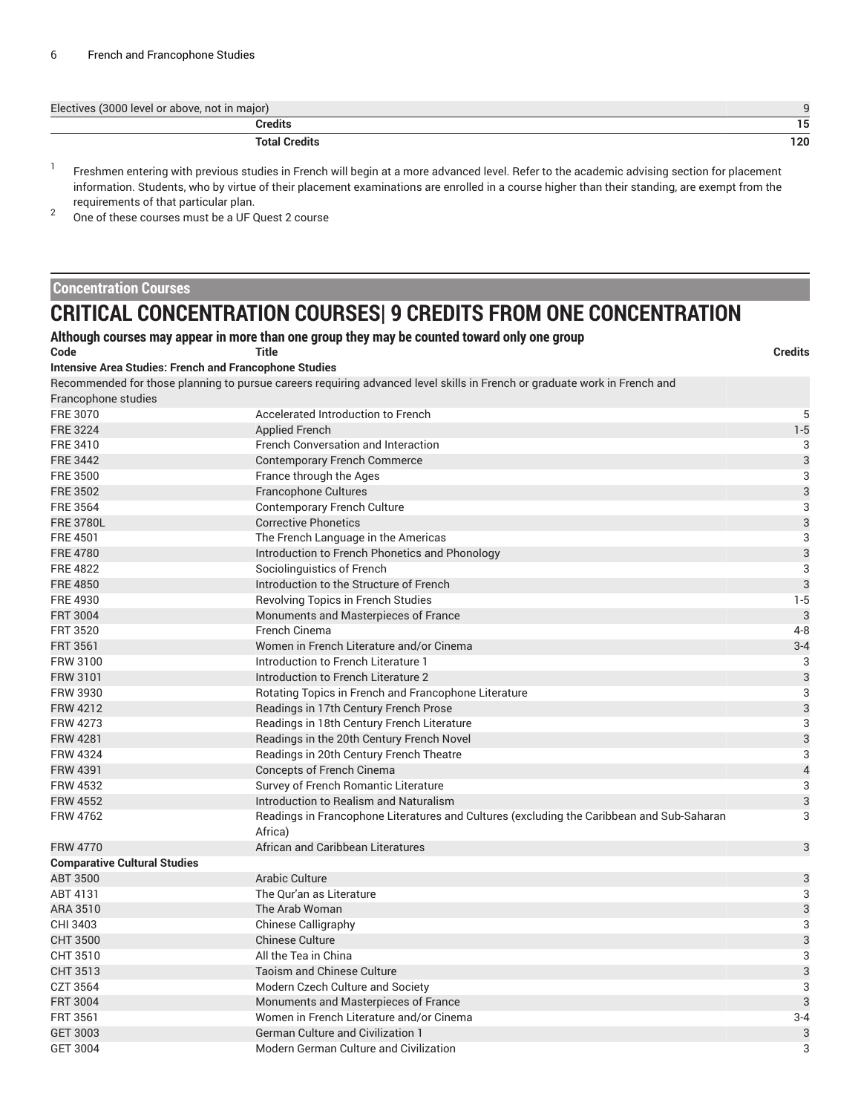| Electives (3000 level or above, not in major) |     |
|-----------------------------------------------|-----|
| Credits                                       | 15  |
| <b>Total Credits</b>                          | 120 |

1 Freshmen entering with previous studies in French will begin at a more advanced level. Refer to the academic advising section for placement information. Students, who by virtue of their placement examinations are enrolled in a course higher than their standing, are exempt from the requirements of that particular plan.

2 One of these courses must be a UF Quest 2 course

#### **Concentration Courses**

## **CRITICAL CONCENTRATION COURSES| 9 CREDITS FROM ONE CONCENTRATION**

| Code                                                          | Although courses may appear in more than one group they may be counted toward only one group<br>Title                     | <b>Credits</b>            |
|---------------------------------------------------------------|---------------------------------------------------------------------------------------------------------------------------|---------------------------|
| <b>Intensive Area Studies: French and Francophone Studies</b> |                                                                                                                           |                           |
|                                                               | Recommended for those planning to pursue careers requiring advanced level skills in French or graduate work in French and |                           |
| Francophone studies                                           |                                                                                                                           |                           |
| FRE 3070                                                      | Accelerated Introduction to French                                                                                        | 5                         |
| <b>FRE 3224</b>                                               | <b>Applied French</b>                                                                                                     | $1 - 5$                   |
| FRE 3410                                                      | <b>French Conversation and Interaction</b>                                                                                | 3                         |
| <b>FRE 3442</b>                                               | <b>Contemporary French Commerce</b>                                                                                       | $\sqrt{3}$                |
| FRE 3500                                                      | France through the Ages                                                                                                   | $\sqrt{3}$                |
| <b>FRE 3502</b>                                               | <b>Francophone Cultures</b>                                                                                               | $\mathfrak{3}$            |
| <b>FRE 3564</b>                                               | <b>Contemporary French Culture</b>                                                                                        | 3                         |
| <b>FRE 3780L</b>                                              | <b>Corrective Phonetics</b>                                                                                               | $\mathbf{3}$              |
| <b>FRE 4501</b>                                               | The French Language in the Americas                                                                                       | 3                         |
| <b>FRE 4780</b>                                               | Introduction to French Phonetics and Phonology                                                                            | $\mathsf 3$               |
| <b>FRE 4822</b>                                               | Sociolinguistics of French                                                                                                | $\sqrt{3}$                |
| <b>FRE 4850</b>                                               | Introduction to the Structure of French                                                                                   | 3                         |
| FRE 4930                                                      | <b>Revolving Topics in French Studies</b>                                                                                 | $1 - 5$                   |
| <b>FRT 3004</b>                                               | Monuments and Masterpieces of France                                                                                      | $\mathbf{3}$              |
| <b>FRT 3520</b>                                               | French Cinema                                                                                                             | $4 - 8$                   |
| <b>FRT 3561</b>                                               | Women in French Literature and/or Cinema                                                                                  | $3 - 4$                   |
| <b>FRW 3100</b>                                               | Introduction to French Literature 1                                                                                       | 3                         |
| <b>FRW 3101</b>                                               | Introduction to French Literature 2                                                                                       | $\ensuremath{\mathsf{3}}$ |
| <b>FRW 3930</b>                                               | Rotating Topics in French and Francophone Literature                                                                      | 3                         |
| <b>FRW 4212</b>                                               | Readings in 17th Century French Prose                                                                                     | $\mathsf 3$               |
| <b>FRW 4273</b>                                               | Readings in 18th Century French Literature                                                                                | 3                         |
| <b>FRW 4281</b>                                               | Readings in the 20th Century French Novel                                                                                 | $\mathsf 3$               |
| <b>FRW 4324</b>                                               | Readings in 20th Century French Theatre                                                                                   | 3                         |
| <b>FRW 4391</b>                                               | <b>Concepts of French Cinema</b>                                                                                          | $\overline{4}$            |
| <b>FRW 4532</b>                                               | Survey of French Romantic Literature                                                                                      | $\sqrt{3}$                |
| <b>FRW 4552</b>                                               | Introduction to Realism and Naturalism                                                                                    | $\ensuremath{\mathsf{3}}$ |
| <b>FRW 4762</b>                                               | Readings in Francophone Literatures and Cultures (excluding the Caribbean and Sub-Saharan<br>Africa)                      | 3                         |
| <b>FRW 4770</b>                                               | African and Caribbean Literatures                                                                                         | $\mathbf{3}$              |
| <b>Comparative Cultural Studies</b>                           |                                                                                                                           |                           |
| <b>ABT 3500</b>                                               | Arabic Culture                                                                                                            | $\sqrt{3}$                |
| ABT 4131                                                      | The Our'an as Literature                                                                                                  | 3                         |
| ARA 3510                                                      | The Arab Woman                                                                                                            | $\mathsf 3$               |
| CHI 3403                                                      | <b>Chinese Calligraphy</b>                                                                                                | $\sqrt{3}$                |
| <b>CHT 3500</b>                                               | <b>Chinese Culture</b>                                                                                                    | $\mathsf 3$               |
| CHT 3510                                                      | All the Tea in China                                                                                                      | $\ensuremath{\mathsf{3}}$ |
| CHT 3513                                                      | <b>Taoism and Chinese Culture</b>                                                                                         | $\mathsf 3$               |
| CZT 3564                                                      | Modern Czech Culture and Society                                                                                          | $\overline{3}$            |
| <b>FRT 3004</b>                                               | Monuments and Masterpieces of France                                                                                      | $\mathbf{3}$              |
| <b>FRT 3561</b>                                               | Women in French Literature and/or Cinema                                                                                  | $3 - 4$                   |
| <b>GET 3003</b>                                               | <b>German Culture and Civilization 1</b>                                                                                  | $\mathsf 3$               |
| <b>GET 3004</b>                                               | Modern German Culture and Civilization                                                                                    | 3                         |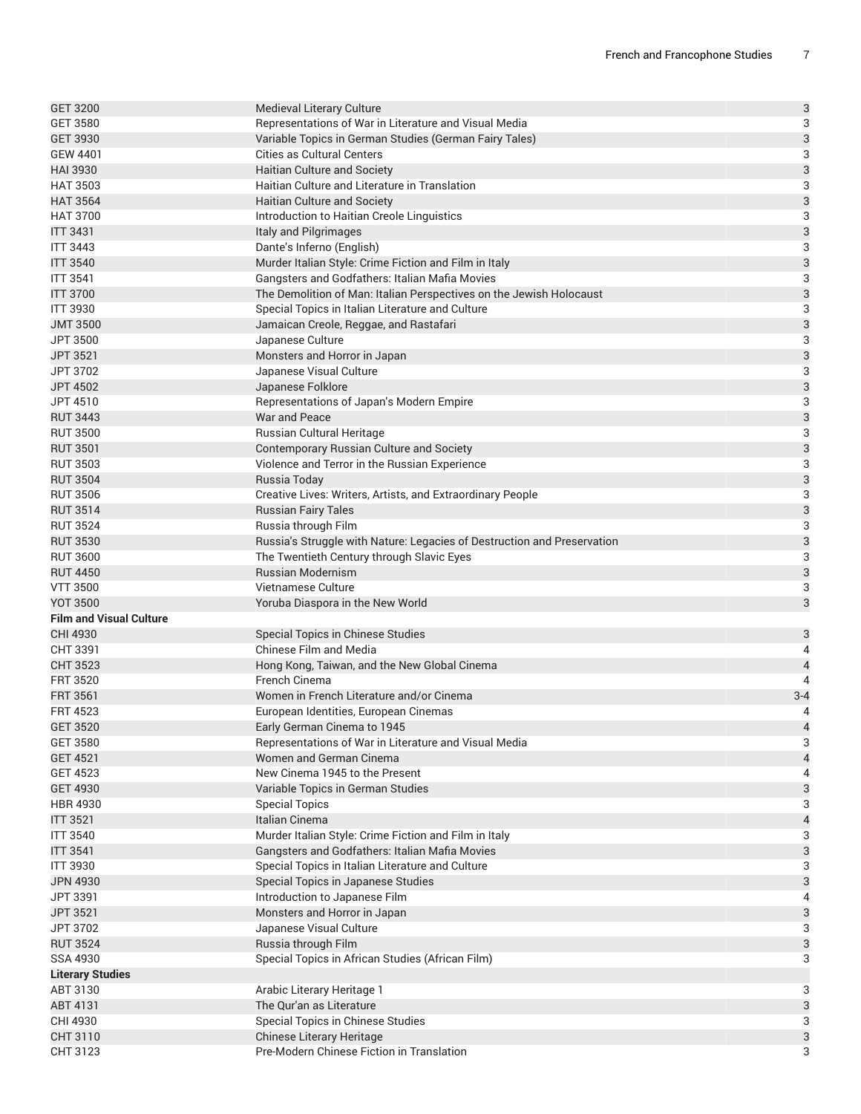| <b>GET 3200</b>                    | Medieval Literary Culture                                               | 3                         |
|------------------------------------|-------------------------------------------------------------------------|---------------------------|
| <b>GET 3580</b>                    | Representations of War in Literature and Visual Media                   | $\sqrt{3}$                |
| <b>GET 3930</b>                    | Variable Topics in German Studies (German Fairy Tales)                  | 3                         |
| <b>GEW 4401</b>                    | <b>Cities as Cultural Centers</b>                                       | $\ensuremath{\mathsf{3}}$ |
| <b>HAI 3930</b>                    | Haitian Culture and Society                                             | 3                         |
| <b>HAT 3503</b>                    | Haitian Culture and Literature in Translation                           | 3                         |
| <b>HAT 3564</b>                    | Haitian Culture and Society                                             | 3                         |
| <b>HAT 3700</b>                    | Introduction to Haitian Creole Linguistics                              | $\ensuremath{\mathsf{3}}$ |
| <b>ITT 3431</b>                    | Italy and Pilgrimages                                                   | 3                         |
| <b>ITT 3443</b>                    | Dante's Inferno (English)                                               | $\ensuremath{\mathsf{3}}$ |
| <b>ITT 3540</b>                    | Murder Italian Style: Crime Fiction and Film in Italy                   | 3                         |
| <b>ITT 3541</b>                    | Gangsters and Godfathers: Italian Mafia Movies                          | 3                         |
| <b>ITT 3700</b>                    | The Demolition of Man: Italian Perspectives on the Jewish Holocaust     | 3                         |
| <b>ITT 3930</b>                    | Special Topics in Italian Literature and Culture                        | $\ensuremath{\mathsf{3}}$ |
| <b>JMT 3500</b>                    | Jamaican Creole, Reggae, and Rastafari                                  | 3                         |
| JPT 3500                           | Japanese Culture                                                        | $\ensuremath{\mathsf{3}}$ |
| JPT 3521                           | Monsters and Horror in Japan                                            | 3                         |
| JPT 3702                           | Japanese Visual Culture                                                 | 3                         |
| <b>JPT 4502</b>                    | Japanese Folklore                                                       | 3                         |
| JPT 4510                           | Representations of Japan's Modern Empire                                | $\sqrt{3}$                |
| <b>RUT 3443</b>                    | War and Peace                                                           | 3                         |
| <b>RUT 3500</b>                    | Russian Cultural Heritage                                               | $\ensuremath{\mathsf{3}}$ |
| <b>RUT 3501</b>                    | Contemporary Russian Culture and Society                                | $\mathsf{3}$              |
| <b>RUT 3503</b>                    | Violence and Terror in the Russian Experience                           | 3                         |
| <b>RUT 3504</b>                    | Russia Today                                                            | 3                         |
| <b>RUT 3506</b>                    | Creative Lives: Writers, Artists, and Extraordinary People              | $\sqrt{3}$                |
| <b>RUT 3514</b>                    | <b>Russian Fairy Tales</b>                                              | 3                         |
| <b>RUT 3524</b>                    | Russia through Film                                                     | $\ensuremath{\mathsf{3}}$ |
| <b>RUT 3530</b>                    | Russia's Struggle with Nature: Legacies of Destruction and Preservation | 3                         |
| <b>RUT 3600</b>                    | The Twentieth Century through Slavic Eyes                               | 3                         |
| <b>RUT 4450</b>                    | <b>Russian Modernism</b>                                                | 3                         |
| <b>VTT 3500</b>                    | Vietnamese Culture                                                      | 3                         |
| <b>YOT 3500</b>                    | Yoruba Diaspora in the New World                                        | $\sqrt{3}$                |
| <b>Film and Visual Culture</b>     |                                                                         |                           |
| CHI 4930                           | Special Topics in Chinese Studies                                       | 3                         |
| CHT 3391                           | <b>Chinese Film and Media</b>                                           | 4                         |
| <b>CHT 3523</b>                    | Hong Kong, Taiwan, and the New Global Cinema                            | $\overline{\mathcal{L}}$  |
| <b>FRT 3520</b>                    | French Cinema                                                           | $\overline{4}$            |
| <b>FRT 3561</b>                    | Women in French Literature and/or Cinema                                | $3 - 4$                   |
| <b>FRT 4523</b>                    | European Identities, European Cinemas                                   | 4                         |
| <b>GET 3520</b>                    | Early German Cinema to 1945                                             | $\overline{4}$            |
| <b>GET 3580</b>                    | Representations of War in Literature and Visual Media                   | 3                         |
| <b>GET 4521</b><br><b>GET 4523</b> | Women and German Cinema<br>New Cinema 1945 to the Present               | $\overline{a}$            |
| <b>GET 4930</b>                    | Variable Topics in German Studies                                       | 4                         |
| <b>HBR 4930</b>                    |                                                                         | 3<br>3                    |
| <b>ITT 3521</b>                    | <b>Special Topics</b><br>Italian Cinema                                 | $\overline{a}$            |
| <b>ITT 3540</b>                    | Murder Italian Style: Crime Fiction and Film in Italy                   | 3                         |
| <b>ITT 3541</b>                    | Gangsters and Godfathers: Italian Mafia Movies                          | 3                         |
| <b>ITT 3930</b>                    | Special Topics in Italian Literature and Culture                        | 3                         |
| <b>JPN 4930</b>                    | Special Topics in Japanese Studies                                      | $\mathsf{3}$              |
| <b>JPT 3391</b>                    | Introduction to Japanese Film                                           | 4                         |
| JPT 3521                           | Monsters and Horror in Japan                                            | $\mathsf{3}$              |
| JPT 3702                           | Japanese Visual Culture                                                 | 3                         |
| <b>RUT 3524</b>                    | Russia through Film                                                     | 3                         |
| SSA 4930                           | Special Topics in African Studies (African Film)                        | 3                         |
| <b>Literary Studies</b>            |                                                                         |                           |
| ABT 3130                           | Arabic Literary Heritage 1                                              | 3                         |
| ABT 4131                           | The Qur'an as Literature                                                | 3                         |
| CHI 4930                           | Special Topics in Chinese Studies                                       | 3                         |
| CHT 3110                           | Chinese Literary Heritage                                               | 3                         |
| CHT 3123                           | Pre-Modern Chinese Fiction in Translation                               | 3                         |
|                                    |                                                                         |                           |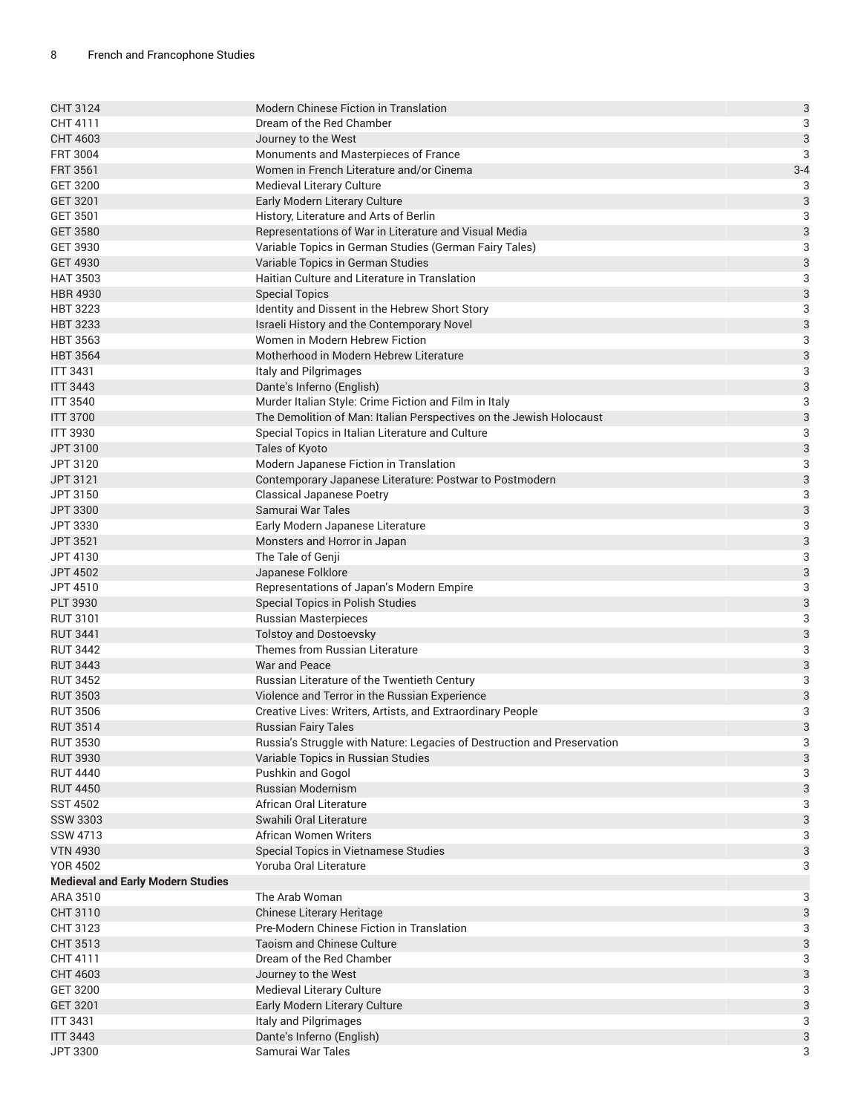| CHT 3124                                 | <b>Modern Chinese Fiction in Translation</b>                            | 3                         |
|------------------------------------------|-------------------------------------------------------------------------|---------------------------|
| CHT 4111                                 | Dream of the Red Chamber                                                | 3                         |
| CHT 4603                                 | Journey to the West                                                     | 3                         |
| <b>FRT 3004</b>                          | Monuments and Masterpieces of France                                    | $\ensuremath{\mathsf{3}}$ |
| <b>FRT 3561</b>                          | Women in French Literature and/or Cinema                                | $3 - 4$                   |
| <b>GET 3200</b>                          | Medieval Literary Culture                                               | 3                         |
| GET 3201                                 | Early Modern Literary Culture                                           | 3                         |
| GET 3501                                 | History, Literature and Arts of Berlin                                  | $\ensuremath{\mathsf{3}}$ |
| <b>GET 3580</b>                          | Representations of War in Literature and Visual Media                   | 3                         |
| GET 3930                                 | Variable Topics in German Studies (German Fairy Tales)                  | 3                         |
| <b>GET 4930</b>                          | Variable Topics in German Studies                                       | 3                         |
| <b>HAT 3503</b>                          | Haitian Culture and Literature in Translation                           | 3                         |
| <b>HBR 4930</b>                          | <b>Special Topics</b>                                                   | 3                         |
| <b>HBT 3223</b>                          | Identity and Dissent in the Hebrew Short Story                          | 3                         |
| <b>HBT 3233</b>                          | Israeli History and the Contemporary Novel                              | 3                         |
| <b>HBT 3563</b>                          | Women in Modern Hebrew Fiction                                          | 3                         |
| <b>HBT 3564</b>                          | Motherhood in Modern Hebrew Literature                                  | 3                         |
| <b>ITT 3431</b>                          | Italy and Pilgrimages                                                   | $\sqrt{3}$                |
| <b>ITT 3443</b>                          | Dante's Inferno (English)                                               | 3                         |
| <b>ITT 3540</b>                          | Murder Italian Style: Crime Fiction and Film in Italy                   | $\ensuremath{\mathsf{3}}$ |
| <b>ITT 3700</b>                          | The Demolition of Man: Italian Perspectives on the Jewish Holocaust     | 3                         |
| <b>ITT 3930</b>                          | Special Topics in Italian Literature and Culture                        | 3                         |
| JPT 3100                                 | Tales of Kyoto                                                          | 3                         |
| JPT 3120                                 | Modern Japanese Fiction in Translation                                  | 3                         |
| JPT 3121                                 | Contemporary Japanese Literature: Postwar to Postmodern                 | 3                         |
| JPT 3150                                 | <b>Classical Japanese Poetry</b>                                        | 3                         |
| JPT 3300                                 | Samurai War Tales                                                       | 3                         |
| JPT 3330                                 | Early Modern Japanese Literature                                        | 3                         |
| <b>JPT 3521</b>                          | Monsters and Horror in Japan                                            | 3                         |
| JPT 4130                                 | The Tale of Genji                                                       | 3                         |
| <b>JPT 4502</b>                          | Japanese Folklore                                                       | 3                         |
| JPT 4510                                 | Representations of Japan's Modern Empire                                | $\sqrt{3}$                |
| <b>PLT 3930</b>                          | Special Topics in Polish Studies                                        | 3                         |
| <b>RUT 3101</b>                          | <b>Russian Masterpieces</b>                                             | $\mathsf 3$               |
| <b>RUT 3441</b>                          | <b>Tolstoy and Dostoevsky</b>                                           | 3                         |
| <b>RUT 3442</b>                          | Themes from Russian Literature                                          | 3                         |
| <b>RUT 3443</b>                          | War and Peace                                                           | 3                         |
| <b>RUT 3452</b>                          | Russian Literature of the Twentieth Century                             | $\ensuremath{\mathsf{3}}$ |
| <b>RUT 3503</b>                          | Violence and Terror in the Russian Experience                           | $\mathsf{3}$              |
| <b>RUT 3506</b>                          | Creative Lives: Writers, Artists, and Extraordinary People              | 3                         |
| <b>RUT 3514</b>                          | Russian Fairy Tales                                                     | 3                         |
| <b>RUT 3530</b>                          | Russia's Struggle with Nature: Legacies of Destruction and Preservation | 3                         |
| <b>RUT 3930</b>                          | Variable Topics in Russian Studies                                      | 3                         |
| <b>RUT 4440</b>                          | Pushkin and Gogol                                                       | 3                         |
| <b>RUT 4450</b>                          | Russian Modernism                                                       | 3                         |
| <b>SST 4502</b>                          | African Oral Literature                                                 | 3                         |
| <b>SSW 3303</b>                          | Swahili Oral Literature                                                 | 3                         |
| SSW 4713                                 | African Women Writers                                                   | 3                         |
| <b>VTN 4930</b>                          | Special Topics in Vietnamese Studies                                    | 3                         |
| <b>YOR 4502</b>                          | Yoruba Oral Literature                                                  | 3                         |
| <b>Medieval and Early Modern Studies</b> |                                                                         |                           |
| ARA 3510                                 | The Arab Woman                                                          | 3                         |
| CHT 3110                                 | Chinese Literary Heritage                                               | 3                         |
| CHT 3123                                 | Pre-Modern Chinese Fiction in Translation                               | 3                         |
| CHT 3513                                 | <b>Taoism and Chinese Culture</b>                                       | 3                         |
| CHT 4111                                 | Dream of the Red Chamber                                                | 3                         |
| CHT 4603                                 | Journey to the West                                                     | 3                         |
| <b>GET 3200</b>                          | Medieval Literary Culture                                               | 3                         |
| <b>GET 3201</b>                          | Early Modern Literary Culture                                           | 3                         |
| <b>ITT 3431</b>                          | Italy and Pilgrimages                                                   | 3                         |
| <b>ITT 3443</b>                          | Dante's Inferno (English)                                               | 3                         |
| JPT 3300                                 | Samurai War Tales                                                       | 3                         |